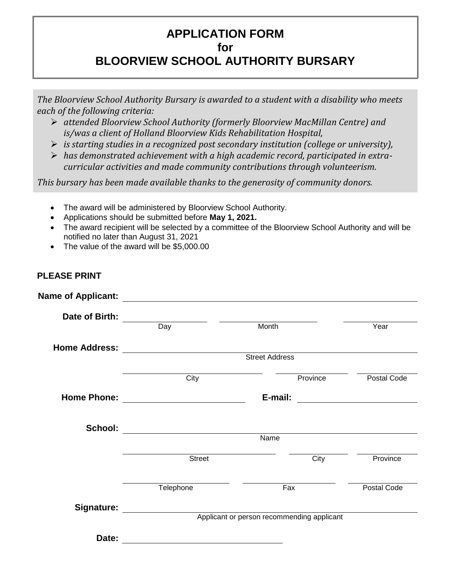## **APPLICATION FORM for**

# **BLOORVIEW SCHOOL AUTHORITY BURSARY**

*The Bloorview School Authority Bursary is awarded to a student with a disability who meets each of the following criteria:*

- *attended Bloorview School Authority (formerly Bloorview MacMillan Centre) and is/was a client of Holland Bloorview Kids Rehabilitation Hospital,*
- *is starting studies in a recognized post secondary institution (college or university),*
- *has demonstrated achievement with a high academic record, participated in extracurricular activities and made community contributions through volunteerism.*

*This bursary has been made available thanks to the generosity of community donors.*

- The award will be administered by Bloorview School Authority.
- Applications should be submitted before **May 1, 2021.**
- The award recipient will be selected by a committee of the Bloorview School Authority and will be notified no later than August 31, 2021
- The value of the award will be \$5,000.00

### **PLEASE PRINT**

| Date of Birth: Day   |                                            | Month                                                                                                                 | Year        |  |  |
|----------------------|--------------------------------------------|-----------------------------------------------------------------------------------------------------------------------|-------------|--|--|
|                      |                                            |                                                                                                                       |             |  |  |
| <b>Home Address:</b> |                                            |                                                                                                                       |             |  |  |
|                      | <b>Street Address</b>                      |                                                                                                                       |             |  |  |
|                      | City                                       | Province                                                                                                              | Postal Code |  |  |
|                      |                                            | <u> 1989 - Johann Harry Barn, mars ar breist fan de Fryske kommunent fan de Fryske kommunent fan de Fryske kommun</u> |             |  |  |
|                      |                                            |                                                                                                                       |             |  |  |
|                      |                                            |                                                                                                                       |             |  |  |
|                      | $\overline{\mathsf{Name}}$                 |                                                                                                                       |             |  |  |
|                      | Street                                     | City                                                                                                                  | Province    |  |  |
|                      | Telephone                                  | Fax                                                                                                                   | Postal Code |  |  |
| <b>Signature:</b>    |                                            |                                                                                                                       |             |  |  |
|                      | Applicant or person recommending applicant |                                                                                                                       |             |  |  |
| Date:                |                                            |                                                                                                                       |             |  |  |
|                      |                                            |                                                                                                                       |             |  |  |